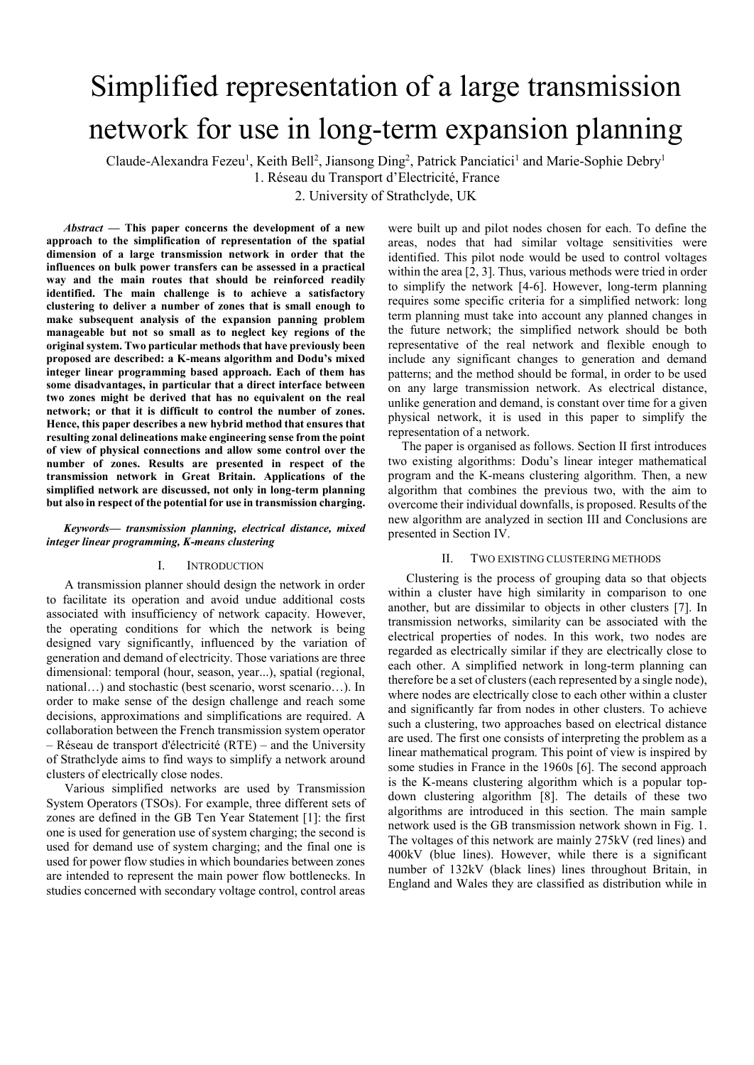# Simplified representation of a large transmission network for use in long-term expansion planning

Claude-Alexandra Fezeu<sup>1</sup>, Keith Bell<sup>2</sup>, Jiansong Ding<sup>2</sup>, Patrick Panciatici<sup>1</sup> and Marie-Sophie Debry<sup>1</sup>

1. Réseau du Transport d'Electricité, France

2. University of Strathclyde, UK

*Abstract* **— This paper concerns the development of a new approach to the simplification of representation of the spatial dimension of a large transmission network in order that the influences on bulk power transfers can be assessed in a practical way and the main routes that should be reinforced readily identified. The main challenge is to achieve a satisfactory clustering to deliver a number of zones that is small enough to make subsequent analysis of the expansion panning problem manageable but not so small as to neglect key regions of the original system. Two particular methods that have previously been proposed are described: a K-means algorithm and Dodu's mixed integer linear programming based approach. Each of them has some disadvantages, in particular that a direct interface between two zones might be derived that has no equivalent on the real network; or that it is difficult to control the number of zones. Hence, this paper describes a new hybrid method that ensures that resulting zonal delineations make engineering sense from the point of view of physical connections and allow some control over the number of zones. Results are presented in respect of the transmission network in Great Britain. Applications of the simplified network are discussed, not only in long-term planning but also in respect of the potential for use in transmission charging.**

#### *Keywords— transmission planning, electrical distance, mixed integer linear programming, K-means clustering*

## I. INTRODUCTION

A transmission planner should design the network in order to facilitate its operation and avoid undue additional costs associated with insufficiency of network capacity. However, the operating conditions for which the network is being designed vary significantly, influenced by the variation of generation and demand of electricity. Those variations are three dimensional: temporal (hour, season, year...), spatial (regional, national…) and stochastic (best scenario, worst scenario…). In order to make sense of the design challenge and reach some decisions, approximations and simplifications are required. A collaboration between the French transmission system operator – Réseau de transport d'électricité (RTE) – and the University of Strathclyde aims to find ways to simplify a network around clusters of electrically close nodes.

Various simplified networks are used by Transmission System Operators (TSOs). For example, three different sets of zones are defined in the GB Ten Year Statement [\[1\]](#page-6-0): the first one is used for generation use of system charging; the second is used for demand use of system charging; and the final one is used for power flow studies in which boundaries between zones are intended to represent the main power flow bottlenecks. In studies concerned with secondary voltage control, control areas

were built up and pilot nodes chosen for each. To define the areas, nodes that had similar voltage sensitivities were identified. This pilot node would be used to control voltages within the area [\[2,](#page-6-1) [3\]](#page-6-2). Thus, various methods were tried in order to simplify the network [\[4-6\]](#page-6-3). However, long-term planning requires some specific criteria for a simplified network: long term planning must take into account any planned changes in the future network; the simplified network should be both representative of the real network and flexible enough to include any significant changes to generation and demand patterns; and the method should be formal, in order to be used on any large transmission network. As electrical distance, unlike generation and demand, is constant over time for a given physical network, it is used in this paper to simplify the representation of a network.

The paper is organised as follows. Section II first introduces two existing algorithms: Dodu's linear integer mathematical program and the K-means clustering algorithm. Then, a new algorithm that combines the previous two, with the aim to overcome their individual downfalls, is proposed. Results of the new algorithm are analyzed in section III and Conclusions are presented in Section IV.

### II. TWO EXISTING CLUSTERING METHODS

Clustering is the process of grouping data so that objects within a cluster have high similarity in comparison to one another, but are dissimilar to objects in other clusters [\[7\]](#page-6-4). In transmission networks, similarity can be associated with the electrical properties of nodes. In this work, two nodes are regarded as electrically similar if they are electrically close to each other. A simplified network in long-term planning can therefore be a set of clusters (each represented by a single node), where nodes are electrically close to each other within a cluster and significantly far from nodes in other clusters. To achieve such a clustering, two approaches based on electrical distance are used. The first one consists of interpreting the problem as a linear mathematical program. This point of view is inspired by some studies in France in the 1960s [\[6\]](#page-6-5). The second approach is the K-means clustering algorithm which is a popular topdown clustering algorithm [\[8\]](#page-6-6). The details of these two algorithms are introduced in this section. The main sample network used is the GB transmission network shown in [Fig. 1.](#page-1-0) The voltages of this network are mainly 275kV (red lines) and 400kV (blue lines). However, while there is a significant number of 132kV (black lines) lines throughout Britain, in England and Wales they are classified as distribution while in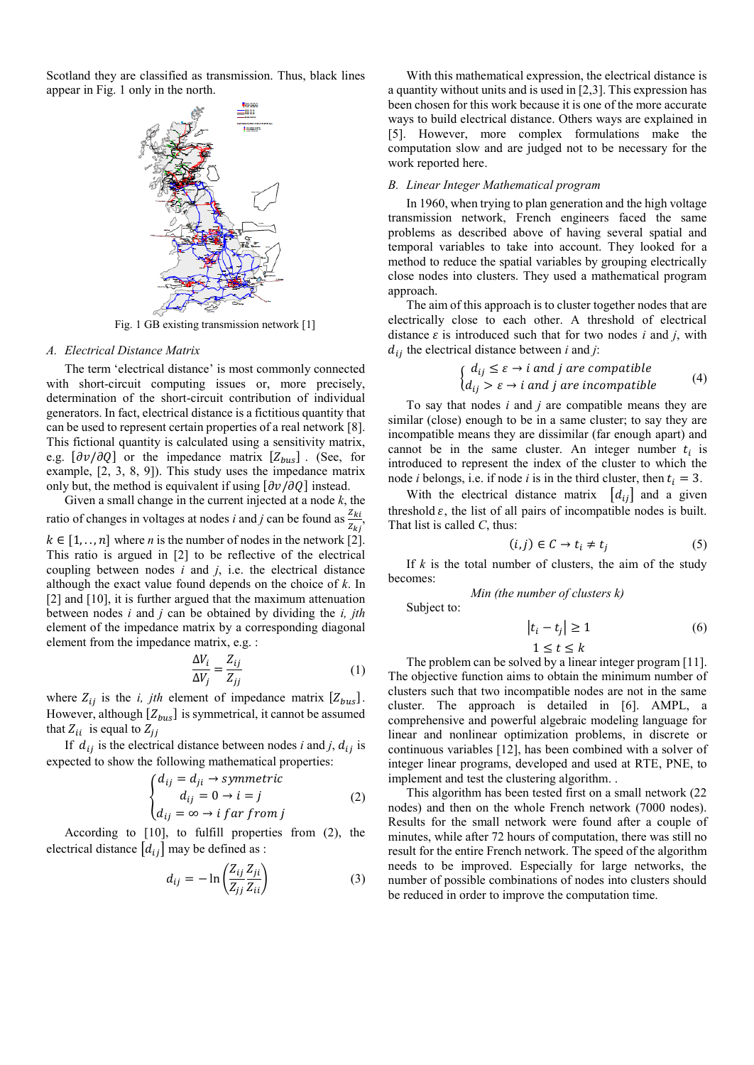Scotland they are classified as transmission. Thus, black lines appear in Fig. 1 only in the north.



Fig. 1 GB existing transmission network [\[1\]](#page-6-0)

#### <span id="page-1-0"></span>*A. Electrical Distance Matrix*

The term 'electrical distance' is most commonly connected with short-circuit computing issues or, more precisely, determination of the short-circuit contribution of individual generators. In fact, electrical distance is a fictitious quantity that can be used to represent certain properties of a real network [\[8\]](#page-6-6). This fictional quantity is calculated using a sensitivity matrix, e.g.  $[\partial v/\partial Q]$  or the impedance matrix  $[Z_{bus}]$ . (See, for example, [\[2,](#page-6-1) [3,](#page-6-2) [8,](#page-6-6) [9\]](#page-6-7)). This study uses the impedance matrix only but, the method is equivalent if using  $\left[\frac{\partial v}{\partial Q}\right]$  instead.

Given a small change in the current injected at a node *k*, the ratio of changes in voltages at nodes *i* and *j* can be found as  $\frac{Z_{ki}}{Z_{kj}}$ ,  $k \in [1, \ldots, n]$  where *n* is the number of nodes in the network [\[2\]](#page-6-1). This ratio is argued in [\[2\]](#page-6-1) to be reflective of the electrical coupling between nodes *i* and *j*, i.e. the electrical distance although the exact value found depends on the choice of *k*. In [\[2\]](#page-6-1) and [\[10\]](#page-6-8), it is further argued that the maximum attenuation between nodes *i* and *j* can be obtained by dividing the *i, jth* element of the impedance matrix by a corresponding diagonal element from the impedance matrix, e.g. :

$$
\frac{\Delta V_i}{\Delta V_j} = \frac{Z_{ij}}{Z_{jj}}\tag{1}
$$

where  $Z_{ij}$  is the *i, jth* element of impedance matrix  $[Z_{bus}]$ . However, although  $[Z_{bus}]$  is symmetrical, it cannot be assumed that  $Z_{ii}$  is equal to  $Z_{jj}$ 

If  $d_{ij}$  is the electrical distance between nodes *i* and *j*,  $d_{ij}$  is expected to show the following mathematical properties:

$$
\begin{cases}\nd_{ij} = d_{ji} \rightarrow symmetric \\
d_{ij} = 0 \rightarrow i = j \\
d_{ij} = \infty \rightarrow i \, far \, from \, j\n\end{cases} \tag{2}
$$

According to [\[10\]](#page-6-8), to fulfill properties from (2), the electrical distance  $[d_{ij}]$  may be defined as :

$$
d_{ij} = -\ln\left(\frac{Z_{ij}}{Z_{jj}}\frac{Z_{ji}}{Z_{ii}}\right) \tag{3}
$$

With this mathematical expression, the electrical distance is a quantity without units and is used in [2,3]. This expression has been chosen for this work because it is one of the more accurate ways to build electrical distance. Others ways are explained in [\[5\]](#page-6-9). However, more complex formulations make the computation slow and are judged not to be necessary for the work reported here.

### *B. Linear Integer Mathematical program*

In 1960, when trying to plan generation and the high voltage transmission network, French engineers faced the same problems as described above of having several spatial and temporal variables to take into account. They looked for a method to reduce the spatial variables by grouping electrically close nodes into clusters. They used a mathematical program approach.

The aim of this approach is to cluster together nodes that are electrically close to each other. A threshold of electrical distance  $\varepsilon$  is introduced such that for two nodes  $i$  and  $j$ , with  $d_{ij}$  the electrical distance between *i* and *j*:

$$
\begin{cases} d_{ij} \leq \varepsilon \to i \text{ and } j \text{ are compatible} \\ d_{ij} > \varepsilon \to i \text{ and } j \text{ are incompatible} \end{cases} \tag{4}
$$

To say that nodes *i* and *j* are compatible means they are similar (close) enough to be in a same cluster; to say they are incompatible means they are dissimilar (far enough apart) and cannot be in the same cluster. An integer number  $t_i$  is introduced to represent the index of the cluster to which the node *i* belongs, i.e. if node *i* is in the third cluster, then  $t_i = 3$ .

With the electrical distance matrix  $[d_{ii}]$  and a given threshold  $\varepsilon$ , the list of all pairs of incompatible nodes is built. That list is called *C*, thus:

$$
(i,j) \in C \to t_i \neq t_j \tag{5}
$$

If *k* is the total number of clusters, the aim of the study becomes:

*Min (the number of clusters k)*

Subject to:

$$
|t_i - t_j| \ge 1
$$
  
 
$$
1 \le t \le k
$$
 (6)

The problem can be solved by a linear integer program [\[11\]](#page-6-10). The objective function aims to obtain the minimum number of clusters such that two incompatible nodes are not in the same cluster. The approach is detailed in [\[6\]](#page-6-5). AMPL, a comprehensive and powerful algebraic modeling language for linear and nonlinear optimization problems, in discrete or continuous variables [\[12\]](#page-6-11), has been combined with a solver of integer linear programs, developed and used at RTE, PNE, to implement and test the clustering algorithm. .

This algorithm has been tested first on a small network (22 nodes) and then on the whole French network (7000 nodes). Results for the small network were found after a couple of minutes, while after 72 hours of computation, there was still no result for the entire French network. The speed of the algorithm needs to be improved. Especially for large networks, the number of possible combinations of nodes into clusters should be reduced in order to improve the computation time.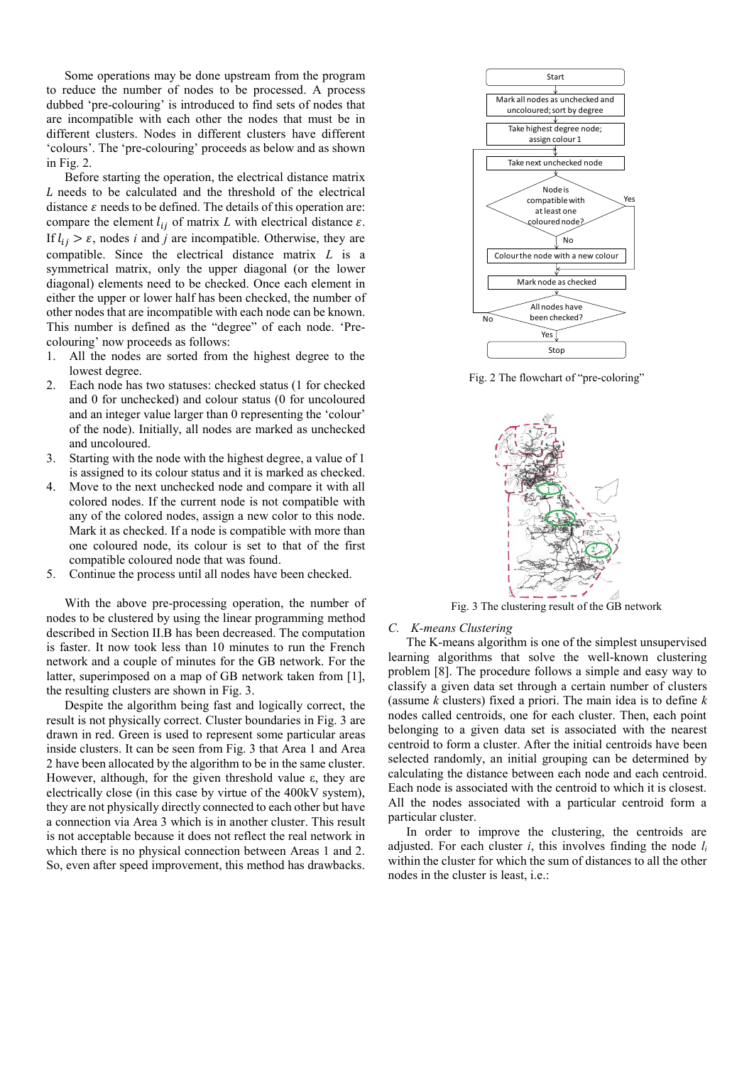Some operations may be done upstream from the program to reduce the number of nodes to be processed. A process dubbed 'pre-colouring' is introduced to find sets of nodes that are incompatible with each other the nodes that must be in different clusters. Nodes in different clusters have different 'colours'. The 'pre-colouring' proceeds as below and as shown in Fig. 2.

Before starting the operation, the electrical distance matrix L needs to be calculated and the threshold of the electrical distance  $\varepsilon$  needs to be defined. The details of this operation are: compare the element  $l_{ij}$  of matrix *L* with electrical distance  $\varepsilon$ . If  $l_{ij} > \varepsilon$ , nodes *i* and *j* are incompatible. Otherwise, they are compatible. Since the electrical distance matrix *L* is a symmetrical matrix, only the upper diagonal (or the lower diagonal) elements need to be checked. Once each element in either the upper or lower half has been checked, the number of other nodes that are incompatible with each node can be known. This number is defined as the "degree" of each node. 'Precolouring' now proceeds as follows:

- 1. All the nodes are sorted from the highest degree to the lowest degree.
- 2. Each node has two statuses: checked status (1 for checked and 0 for unchecked) and colour status (0 for uncoloured and an integer value larger than 0 representing the 'colour' of the node). Initially, all nodes are marked as unchecked and uncoloured.
- 3. Starting with the node with the highest degree, a value of 1 is assigned to its colour status and it is marked as checked.
- Move to the next unchecked node and compare it with all colored nodes. If the current node is not compatible with any of the colored nodes, assign a new color to this node. Mark it as checked. If a node is compatible with more than one coloured node, its colour is set to that of the first compatible coloured node that was found.
- 5. Continue the process until all nodes have been checked.

With the above pre-processing operation, the number of nodes to be clustered by using the linear programming method described in Section II.B has been decreased. The computation is faster. It now took less than 10 minutes to run the French network and a couple of minutes for the GB network. For the latter, superimposed on a map of GB network taken from [1], the resulting clusters are shown in [Fig. 3.](#page-2-0)

Despite the algorithm being fast and logically correct, the result is not physically correct. Cluster boundaries i[n Fig. 3](#page-2-0) are drawn in red. Green is used to represent some particular areas inside clusters. It can be seen fro[m Fig. 3](#page-2-0) that Area 1 and Area 2 have been allocated by the algorithm to be in the same cluster. However, although, for the given threshold value  $\varepsilon$ , they are electrically close (in this case by virtue of the 400kV system), they are not physically directly connected to each other but have a connection via Area 3 which is in another cluster. This result is not acceptable because it does not reflect the real network in which there is no physical connection between Areas 1 and 2. So, even after speed improvement, this method has drawbacks.



Fig. 2 The flowchart of "pre-coloring"



Fig. 3 The clustering result of the GB network

## <span id="page-2-0"></span>*C. K-means Clustering*

The K-means algorithm is one of the simplest unsupervised learning algorithms that solve the well-known clustering problem [\[8\]](#page-6-6). The procedure follows a simple and easy way to classify a given data set through a certain number of clusters (assume *k* clusters) fixed a priori. The main idea is to define *k* nodes called centroids, one for each cluster. Then, each point belonging to a given data set is associated with the nearest centroid to form a cluster. After the initial centroids have been selected randomly, an initial grouping can be determined by calculating the distance between each node and each centroid. Each node is associated with the centroid to which it is closest. All the nodes associated with a particular centroid form a particular cluster.

In order to improve the clustering, the centroids are adjusted. For each cluster *i*, this involves finding the node *l<sup>i</sup>* within the cluster for which the sum of distances to all the other nodes in the cluster is least, i.e.: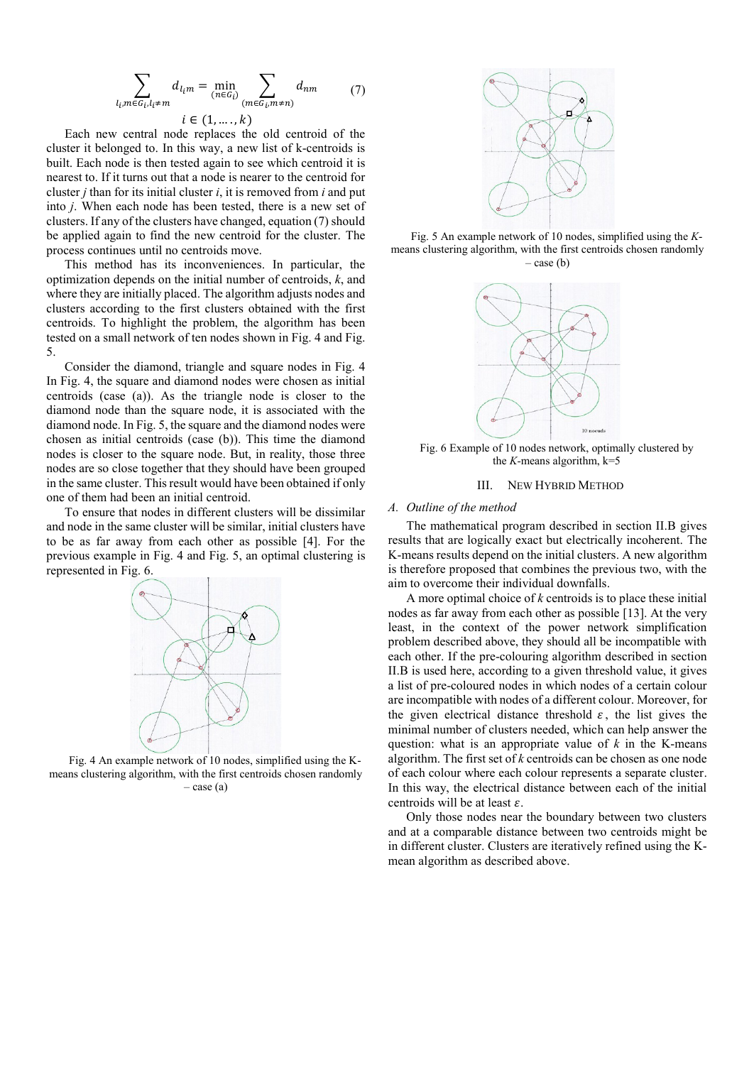$$
\sum_{l_i, m \in G_i, l_i \neq m} d_{l_i m} = \min_{(n \in G_i)} \sum_{(m \in G_i, m \neq n)} d_{nm} \tag{7}
$$

$$
i \in (1, \dots, k)
$$

Each new central node replaces the old centroid of the cluster it belonged to. In this way, a new list of k-centroids is built. Each node is then tested again to see which centroid it is nearest to. If it turns out that a node is nearer to the centroid for cluster *j* than for its initial cluster *i*, it is removed from *i* and put into *j*. When each node has been tested, there is a new set of clusters. If any of the clusters have changed, equation (7) should be applied again to find the new centroid for the cluster. The process continues until no centroids move.

This method has its inconveniences. In particular, the optimization depends on the initial number of centroids, *k*, and where they are initially placed. The algorithm adjusts nodes and clusters according to the first clusters obtained with the first centroids. To highlight the problem, the algorithm has been tested on a small network of ten nodes shown i[n Fig. 4](#page-3-0) and [Fig.](#page-3-1)  [5.](#page-3-1)

Consider the diamond, triangle and square nodes in [Fig. 4](#page-3-0) In [Fig. 4,](#page-3-0) the square and diamond nodes were chosen as initial centroids (case (a)). As the triangle node is closer to the diamond node than the square node, it is associated with the diamond node. I[n Fig. 5,](#page-3-1) the square and the diamond nodes were chosen as initial centroids (case (b)). This time the diamond nodes is closer to the square node. But, in reality, those three nodes are so close together that they should have been grouped in the same cluster. This result would have been obtained if only one of them had been an initial centroid.

To ensure that nodes in different clusters will be dissimilar and node in the same cluster will be similar, initial clusters have to be as far away from each other as possible [\[4\]](#page-6-3). For the previous example in [Fig. 4](#page-3-0) and [Fig. 5,](#page-3-1) an optimal clustering is represented i[n Fig. 6.](#page-3-2)



<span id="page-3-0"></span>Fig. 4 An example network of 10 nodes, simplified using the Kmeans clustering algorithm, with the first centroids chosen randomly – case (a)



<span id="page-3-1"></span>Fig. 5 An example network of 10 nodes, simplified using the *K*means clustering algorithm, with the first centroids chosen randomly  $-$  case (b)



<span id="page-3-2"></span>Fig. 6 Example of 10 nodes network, optimally clustered by the *K-*means algorithm, k=5

III. NEW HYBRID METHOD

## *A. Outline of the method*

The mathematical program described in section II.B gives results that are logically exact but electrically incoherent. The K-means results depend on the initial clusters. A new algorithm is therefore proposed that combines the previous two, with the aim to overcome their individual downfalls.

A more optimal choice of *k* centroids is to place these initial nodes as far away from each other as possible [\[13\]](#page-6-12). At the very least, in the context of the power network simplification problem described above, they should all be incompatible with each other. If the pre-colouring algorithm described in section II.B is used here, according to a given threshold value, it gives a list of pre-coloured nodes in which nodes of a certain colour are incompatible with nodes of a different colour. Moreover, for the given electrical distance threshold  $\varepsilon$ , the list gives the minimal number of clusters needed, which can help answer the question: what is an appropriate value of *k* in the K-means algorithm. The first set of *k* centroids can be chosen as one node of each colour where each colour represents a separate cluster. In this way, the electrical distance between each of the initial centroids will be at least  $\varepsilon$ .

Only those nodes near the boundary between two clusters and at a comparable distance between two centroids might be in different cluster. Clusters are iteratively refined using the Kmean algorithm as described above.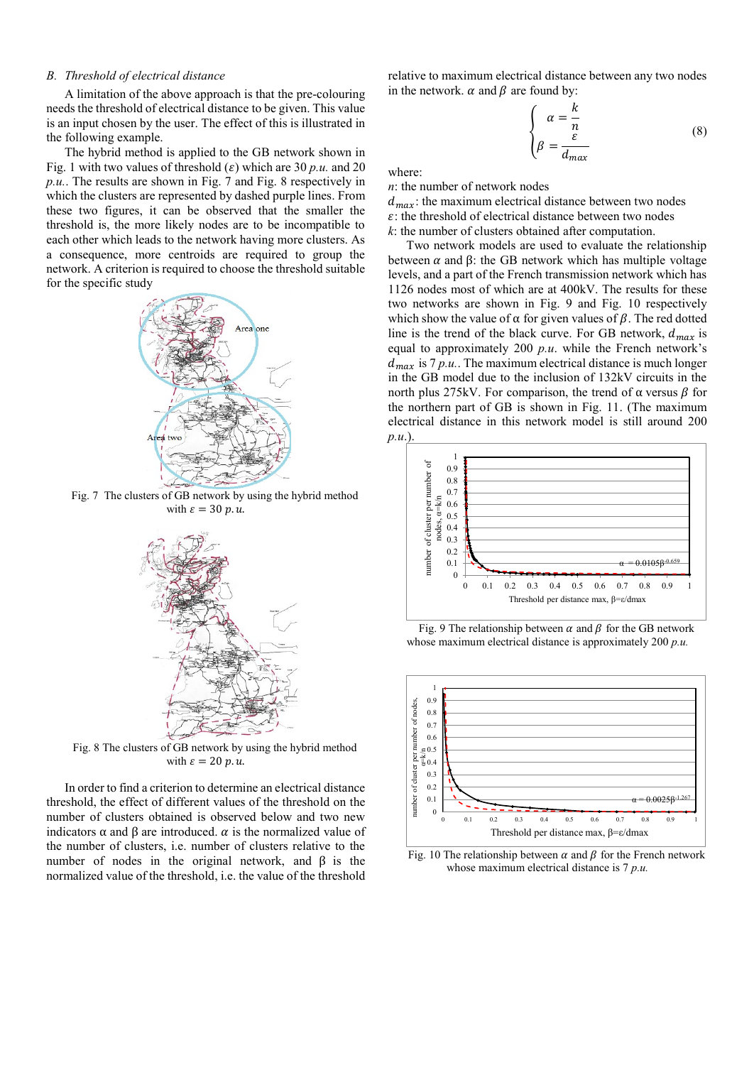# *B. Threshold of electrical distance*

A limitation of the above approach is that the pre-colouring needs the threshold of electrical distance to be given. This value is an input chosen by the user. The effect of this is illustrated in the following example.

The hybrid method is applied to the GB network shown in [Fig. 1](#page-1-0) with two values of threshold  $(\varepsilon)$  which are 30 *p.u.* and 20 *p.u.*. The results are shown in [Fig. 7](#page-4-0) and [Fig. 8](#page-4-1) respectively in which the clusters are represented by dashed purple lines. From these two figures, it can be observed that the smaller the threshold is, the more likely nodes are to be incompatible to each other which leads to the network having more clusters. As a consequence, more centroids are required to group the network. A criterion is required to choose the threshold suitable for the specific study



<span id="page-4-0"></span>Fig. 7 The clusters of GB network by using the hybrid method with  $\varepsilon = 30$  p.u.



<span id="page-4-1"></span>Fig. 8 The clusters of GB network by using the hybrid method with  $\varepsilon = 20 p.u.$ 

In order to find a criterion to determine an electrical distance threshold, the effect of different values of the threshold on the number of clusters obtained is observed below and two new indicators  $\alpha$  and  $\beta$  are introduced.  $\alpha$  is the normalized value of the number of clusters, i.e. number of clusters relative to the number of nodes in the original network, and  $\beta$  is the normalized value of the threshold, i.e. the value of the threshold

relative to maximum electrical distance between any two nodes in the network.  $\alpha$  and  $\beta$  are found by:

$$
\begin{cases}\n\alpha = \frac{k}{n} \\
\beta = \frac{\varepsilon}{d_{max}}\n\end{cases}
$$
\n(8)

where:

*n*: the number of network nodes

 $d_{max}$ : the maximum electrical distance between two nodes  $\varepsilon$ : the threshold of electrical distance between two nodes *k*: the number of clusters obtained after computation.

Two network models are used to evaluate the relationship between  $\alpha$  and  $\beta$ : the GB network which has multiple voltage levels, and a part of the French transmission network which has 1126 nodes most of which are at 400kV. The results for these two networks are shown in [Fig. 9](#page-4-2) and [Fig. 10](#page-4-3) respectively which show the value of  $\alpha$  for given values of  $\beta$ . The red dotted line is the trend of the black curve. For GB network,  $d_{max}$  is equal to approximately 200 *p.u*. while the French network's  $d_{max}$  is 7 p.u.. The maximum electrical distance is much longer in the GB model due to the inclusion of 132kV circuits in the north plus 275kV. For comparison, the trend of α versus β for the northern part of GB is shown in Fig. 11. (The maximum electrical distance in this network model is still around 200 *p.u*.).



<span id="page-4-2"></span>Fig. 9 The relationship between  $\alpha$  and  $\beta$  for the GB network whose maximum electrical distance is approximately 200 *p.u.*



<span id="page-4-3"></span>Fig. 10 The relationship between  $\alpha$  and  $\beta$  for the French network whose maximum electrical distance is 7 *p.u.*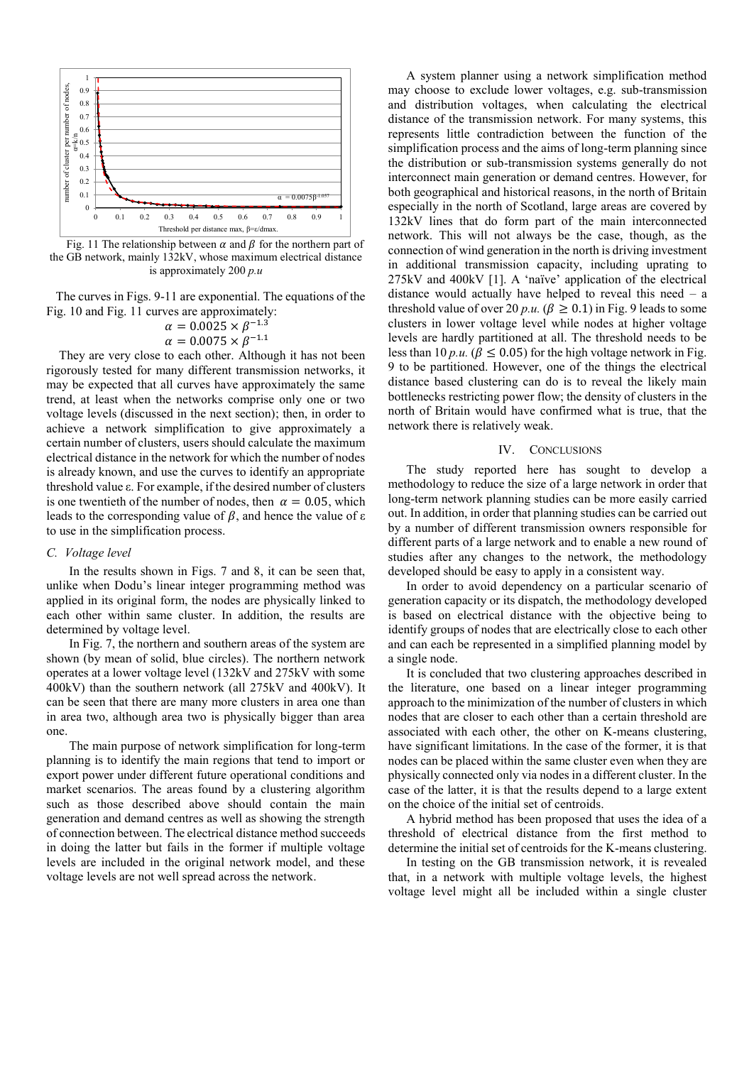

<span id="page-5-0"></span>Fig. 11 The relationship between  $\alpha$  and  $\beta$  for the northern part of the GB network, mainly 132kV, whose maximum electrical distance is approximately 200 *p.u*

 The curves in Figs. 9-11 are exponential. The equations of the [Fig. 10](#page-4-3) and [Fig. 11](#page-5-0) curves are approximately:

$$
\alpha = 0.0025 \times \beta^{-1.3}
$$
  

$$
\alpha = 0.0075 \times \beta^{-1.1}
$$

 They are very close to each other. Although it has not been rigorously tested for many different transmission networks, it may be expected that all curves have approximately the same trend, at least when the networks comprise only one or two voltage levels (discussed in the next section); then, in order to achieve a network simplification to give approximately a certain number of clusters, users should calculate the maximum electrical distance in the network for which the number of nodes is already known, and use the curves to identify an appropriate threshold value ε. For example, if the desired number of clusters is one twentieth of the number of nodes, then  $\alpha = 0.05$ , which leads to the corresponding value of  $\beta$ , and hence the value of  $\varepsilon$ to use in the simplification process.

### *C. Voltage level*

In the results shown in Figs. 7 and 8, it can be seen that, unlike when Dodu's linear integer programming method was applied in its original form, the nodes are physically linked to each other within same cluster. In addition, the results are determined by voltage level.

In [Fig. 7,](#page-4-0) the northern and southern areas of the system are shown (by mean of solid, blue circles). The northern network operates at a lower voltage level (132kV and 275kV with some 400kV) than the southern network (all 275kV and 400kV). It can be seen that there are many more clusters in area one than in area two, although area two is physically bigger than area one.

The main purpose of network simplification for long-term planning is to identify the main regions that tend to import or export power under different future operational conditions and market scenarios. The areas found by a clustering algorithm such as those described above should contain the main generation and demand centres as well as showing the strength of connection between. The electrical distance method succeeds in doing the latter but fails in the former if multiple voltage levels are included in the original network model, and these voltage levels are not well spread across the network.

A system planner using a network simplification method may choose to exclude lower voltages, e.g. sub-transmission and distribution voltages, when calculating the electrical distance of the transmission network. For many systems, this represents little contradiction between the function of the simplification process and the aims of long-term planning since the distribution or sub-transmission systems generally do not interconnect main generation or demand centres. However, for both geographical and historical reasons, in the north of Britain especially in the north of Scotland, large areas are covered by 132kV lines that do form part of the main interconnected network. This will not always be the case, though, as the connection of wind generation in the north is driving investment in additional transmission capacity, including uprating to 275kV and 400kV [1]. A 'naïve' application of the electrical distance would actually have helped to reveal this need – a threshold value of over 20 *p.u.* ( $\beta \ge 0.1$ ) i[n Fig. 9](#page-4-2) leads to some clusters in lower voltage level while nodes at higher voltage levels are hardly partitioned at all. The threshold needs to be less than 10 *p.u.* ( $\beta \le 0.05$ ) for the high voltage network in Fig. [9](#page-4-2) to be partitioned. However, one of the things the electrical distance based clustering can do is to reveal the likely main bottlenecks restricting power flow; the density of clusters in the north of Britain would have confirmed what is true, that the network there is relatively weak.

#### IV. CONCLUSIONS

The study reported here has sought to develop a methodology to reduce the size of a large network in order that long-term network planning studies can be more easily carried out. In addition, in order that planning studies can be carried out by a number of different transmission owners responsible for different parts of a large network and to enable a new round of studies after any changes to the network, the methodology developed should be easy to apply in a consistent way.

In order to avoid dependency on a particular scenario of generation capacity or its dispatch, the methodology developed is based on electrical distance with the objective being to identify groups of nodes that are electrically close to each other and can each be represented in a simplified planning model by a single node.

It is concluded that two clustering approaches described in the literature, one based on a linear integer programming approach to the minimization of the number of clusters in which nodes that are closer to each other than a certain threshold are associated with each other, the other on K-means clustering, have significant limitations. In the case of the former, it is that nodes can be placed within the same cluster even when they are physically connected only via nodes in a different cluster. In the case of the latter, it is that the results depend to a large extent on the choice of the initial set of centroids.

A hybrid method has been proposed that uses the idea of a threshold of electrical distance from the first method to determine the initial set of centroids for the K-means clustering.

In testing on the GB transmission network, it is revealed that, in a network with multiple voltage levels, the highest voltage level might all be included within a single cluster